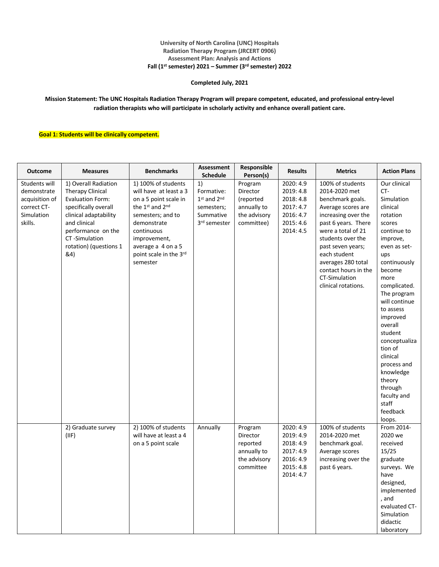#### **University of North Carolina (UNC) Hospitals Radiation Therapy Program (JRCERT 0906) Assessment Plan: Analysis and Actions Fall (1st semester) 2021 – Summer (3rd semester) 2022**

### **Completed July, 2021**

**Mission Statement: The UNC Hospitals Radiation Therapy Program will prepare competent, educated, and professional entry-level radiation therapists who will participate in scholarly activity and enhance overall patient care.**

#### **Goal 1: Students will be clinically competent.**

| <b>Outcome</b>                                                                         | <b>Measures</b>                                                                                                                                                                                              | <b>Benchmarks</b>                                                                                                                                                                                                       | <b>Assessment</b><br><b>Schedule</b>                                       | Responsible<br>Person(s)                                                      | <b>Results</b>                                                                          | <b>Metrics</b>                                                                                                                                                                                                                                                                                  | <b>Action Plans</b>                                                                                                                                                                                                                                                                                                                                                                              |
|----------------------------------------------------------------------------------------|--------------------------------------------------------------------------------------------------------------------------------------------------------------------------------------------------------------|-------------------------------------------------------------------------------------------------------------------------------------------------------------------------------------------------------------------------|----------------------------------------------------------------------------|-------------------------------------------------------------------------------|-----------------------------------------------------------------------------------------|-------------------------------------------------------------------------------------------------------------------------------------------------------------------------------------------------------------------------------------------------------------------------------------------------|--------------------------------------------------------------------------------------------------------------------------------------------------------------------------------------------------------------------------------------------------------------------------------------------------------------------------------------------------------------------------------------------------|
| Students will<br>demonstrate<br>acquisition of<br>correct CT-<br>Simulation<br>skills. | 1) Overall Radiation<br>Therapy Clinical<br><b>Evaluation Form:</b><br>specifically overall<br>clinical adaptability<br>and clinical<br>performance on the<br>CT-Simulation<br>rotation) (questions 1<br>&4) | 1) 100% of students<br>will have at least a 3<br>on a 5 point scale in<br>the 1st and 2nd<br>semesters; and to<br>demonstrate<br>continuous<br>improvement,<br>average a 4 on a 5<br>point scale in the 3rd<br>semester | 1)<br>Formative:<br>1st and 2nd<br>semesters;<br>Summative<br>3rd semester | Program<br>Director<br>(reported<br>annually to<br>the advisory<br>committee) | 2020: 4.9<br>2019: 4.8<br>2018: 4.8<br>2017: 4.7<br>2016: 4.7<br>2015: 4.6<br>2014: 4.5 | 100% of students<br>2014-2020 met<br>benchmark goals.<br>Average scores are<br>increasing over the<br>past 6 years. There<br>were a total of 21<br>students over the<br>past seven years;<br>each student<br>averages 280 total<br>contact hours in the<br>CT-Simulation<br>clinical rotations. | Our clinical<br>$CT -$<br>Simulation<br>clinical<br>rotation<br>scores<br>continue to<br>improve,<br>even as set-<br>ups<br>continuously<br>become<br>more<br>complicated.<br>The program<br>will continue<br>to assess<br>improved<br>overall<br>student<br>conceptualiza<br>tion of<br>clinical<br>process and<br>knowledge<br>theory<br>through<br>faculty and<br>staff<br>feedback<br>loops. |
|                                                                                        | 2) Graduate survey<br>(IIF)                                                                                                                                                                                  | 2) 100% of students<br>will have at least a 4<br>on a 5 point scale                                                                                                                                                     | Annually                                                                   | Program<br>Director<br>reported<br>annually to<br>the advisory<br>committee   | 2020: 4.9<br>2019: 4.9<br>2018: 4.9<br>2017: 4.9<br>2016: 4.9<br>2015: 4.8<br>2014: 4.7 | 100% of students<br>2014-2020 met<br>benchmark goal.<br>Average scores<br>increasing over the<br>past 6 years.                                                                                                                                                                                  | From 2014-<br>2020 we<br>received<br>15/25<br>graduate<br>surveys. We<br>have<br>designed,<br>implemented<br>, and<br>evaluated CT-<br>Simulation<br>didactic<br>laboratory                                                                                                                                                                                                                      |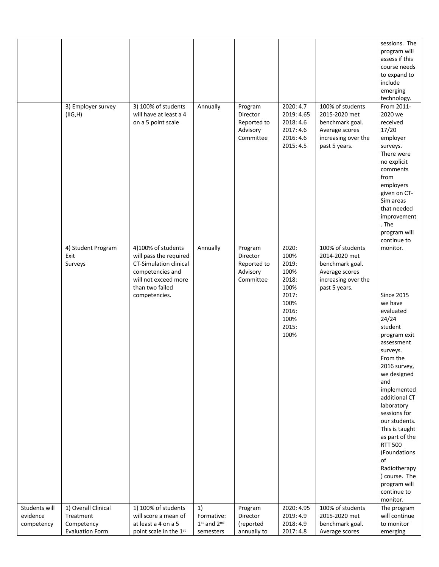|                                         |                                                                          |                                                                                                                                                        |                                                  |                                                             |                                                                                                    |                                                                                                                | sessions. The<br>program will<br>assess if this<br>course needs<br>to expand to<br>include<br>emerging<br>technology.                                                                                                                                                                                                                                                                                        |
|-----------------------------------------|--------------------------------------------------------------------------|--------------------------------------------------------------------------------------------------------------------------------------------------------|--------------------------------------------------|-------------------------------------------------------------|----------------------------------------------------------------------------------------------------|----------------------------------------------------------------------------------------------------------------|--------------------------------------------------------------------------------------------------------------------------------------------------------------------------------------------------------------------------------------------------------------------------------------------------------------------------------------------------------------------------------------------------------------|
|                                         | 3) Employer survey<br>(IIG,H)                                            | 3) 100% of students<br>will have at least a 4<br>on a 5 point scale                                                                                    | Annually                                         | Program<br>Director<br>Reported to<br>Advisory<br>Committee | 2020: 4.7<br>2019: 4.65<br>2018:4.6<br>2017: 4.6<br>2016: 4.6<br>2015: 4.5                         | 100% of students<br>2015-2020 met<br>benchmark goal.<br>Average scores<br>increasing over the<br>past 5 years. | From 2011-<br>2020 we<br>received<br>17/20<br>employer<br>surveys.<br>There were<br>no explicit<br>comments<br>from<br>employers<br>given on CT-<br>Sim areas<br>that needed<br>improvement<br>. The<br>program will<br>continue to                                                                                                                                                                          |
|                                         | 4) Student Program<br>Exit<br>Surveys                                    | 4)100% of students<br>will pass the required<br>CT-Simulation clinical<br>competencies and<br>will not exceed more<br>than two failed<br>competencies. | Annually                                         | Program<br>Director<br>Reported to<br>Advisory<br>Committee | 2020:<br>100%<br>2019:<br>100%<br>2018:<br>100%<br>2017:<br>100%<br>2016:<br>100%<br>2015:<br>100% | 100% of students<br>2014-2020 met<br>benchmark goal.<br>Average scores<br>increasing over the<br>past 5 years. | monitor.<br><b>Since 2015</b><br>we have<br>evaluated<br>24/24<br>student<br>program exit<br>assessment<br>surveys.<br>From the<br>2016 survey,<br>we designed<br>and<br>implemented<br>additional CT<br>laboratory<br>sessions for<br>our students.<br>This is taught<br>as part of the<br><b>RTT 500</b><br>(Foundations<br>of<br>Radiotherapy<br>) course. The<br>program will<br>continue to<br>monitor. |
| Students will<br>evidence<br>competency | 1) Overall Clinical<br>Treatment<br>Competency<br><b>Evaluation Form</b> | 1) 100% of students<br>will score a mean of<br>at least a 4 on a 5<br>point scale in the 1st                                                           | 1)<br>Formative:<br>$1st$ and $2nd$<br>semesters | Program<br>Director<br>(reported<br>annually to             | 2020: 4.95<br>2019: 4.9<br>2018: 4.9<br>2017: 4.8                                                  | 100% of students<br>2015-2020 met<br>benchmark goal.<br>Average scores                                         | The program<br>will continue<br>to monitor<br>emerging                                                                                                                                                                                                                                                                                                                                                       |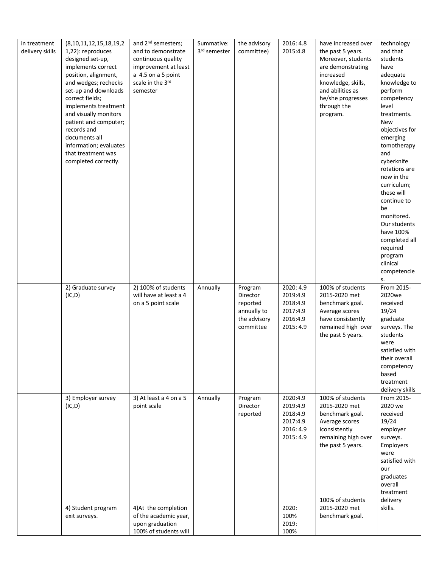| in treatment<br>delivery skills | (8, 10, 11, 12, 15, 18, 19, 2)<br>1,22): reproduces<br>designed set-up,<br>implements correct<br>position, alignment,<br>and wedges; rechecks<br>set-up and downloads<br>correct fields;<br>implements treatment<br>and visually monitors<br>patient and computer;<br>records and<br>documents all<br>information; evaluates<br>that treatment was<br>completed correctly. | and 2 <sup>nd</sup> semesters;<br>and to demonstrate<br>continuous quality<br>improvement at least<br>a 4.5 on a 5 point<br>scale in the 3rd<br>semester | Summative:<br>3rd semester | the advisory<br>committee)                                                  | 2016: 4.8<br>2015:4.8                                                                                    | have increased over<br>the past 5 years.<br>Moreover, students<br>are demonstrating<br>increased<br>knowledge, skills,<br>and abilities as<br>he/she progresses<br>through the<br>program.  | technology<br>and that<br>students<br>have<br>adequate<br>knowledge to<br>perform<br>competency<br>level<br>treatments.<br>New<br>objectives for<br>emerging<br>tomotherapy<br>and<br>cyberknife<br>rotations are<br>now in the<br>curriculum;<br>these will<br>continue to<br>be<br>monitored.<br>Our students<br>have 100%<br>completed all<br>required<br>program<br>clinical<br>competencie |
|---------------------------------|----------------------------------------------------------------------------------------------------------------------------------------------------------------------------------------------------------------------------------------------------------------------------------------------------------------------------------------------------------------------------|----------------------------------------------------------------------------------------------------------------------------------------------------------|----------------------------|-----------------------------------------------------------------------------|----------------------------------------------------------------------------------------------------------|---------------------------------------------------------------------------------------------------------------------------------------------------------------------------------------------|-------------------------------------------------------------------------------------------------------------------------------------------------------------------------------------------------------------------------------------------------------------------------------------------------------------------------------------------------------------------------------------------------|
|                                 | 2) Graduate survey<br>(IC, D)                                                                                                                                                                                                                                                                                                                                              | 2) 100% of students<br>will have at least a 4<br>on a 5 point scale                                                                                      | Annually                   | Program<br>Director<br>reported<br>annually to<br>the advisory<br>committee | 2020: 4.9<br>2019:4.9<br>2018:4.9<br>2017:4.9<br>2016:4.9<br>2015: 4.9                                   | 100% of students<br>2015-2020 met<br>benchmark goal.<br>Average scores<br>have consistently<br>remained high over<br>the past 5 years.                                                      | s.<br>From 2015-<br>2020we<br>received<br>19/24<br>graduate<br>surveys. The<br>students<br>were<br>satisfied with<br>their overall<br>competency<br>based<br>treatment<br>delivery skills                                                                                                                                                                                                       |
|                                 | 3) Employer survey<br>(IC, D)<br>4) Student program<br>exit surveys.                                                                                                                                                                                                                                                                                                       | 3) At least a 4 on a 5<br>point scale<br>4) At the completion<br>of the academic year,<br>upon graduation<br>100% of students will                       | Annually                   | Program<br>Director<br>reported                                             | 2020:4.9<br>2019:4.9<br>2018:4.9<br>2017:4.9<br>2016: 4.9<br>2015: 4.9<br>2020:<br>100%<br>2019:<br>100% | 100% of students<br>2015-2020 met<br>benchmark goal.<br>Average scores<br>iconsistently<br>remaining high over<br>the past 5 years.<br>100% of students<br>2015-2020 met<br>benchmark goal. | From 2015-<br>2020 we<br>received<br>19/24<br>employer<br>surveys.<br>Employers<br>were<br>satisfied with<br>our<br>graduates<br>overall<br>treatment<br>delivery<br>skills.                                                                                                                                                                                                                    |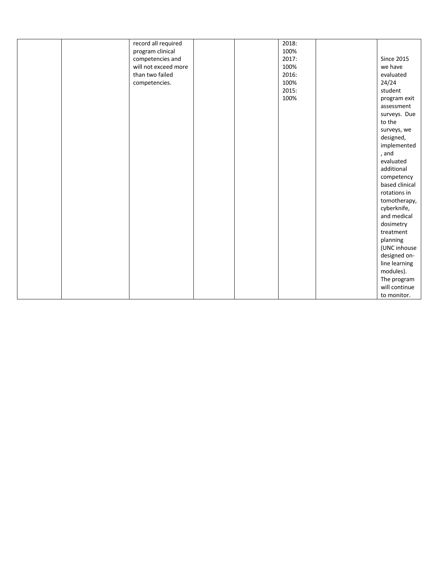|  | record all required  |  | 2018: |                              |
|--|----------------------|--|-------|------------------------------|
|  | program clinical     |  | 100%  |                              |
|  | competencies and     |  | 2017: | <b>Since 2015</b>            |
|  | will not exceed more |  | 100%  | we have                      |
|  | than two failed      |  | 2016: | evaluated                    |
|  | competencies.        |  | 100%  | 24/24                        |
|  |                      |  | 2015: | student                      |
|  |                      |  | 100%  | program exit                 |
|  |                      |  |       | assessment                   |
|  |                      |  |       | surveys. Due                 |
|  |                      |  |       | to the                       |
|  |                      |  |       | surveys, we                  |
|  |                      |  |       | designed,                    |
|  |                      |  |       | implemented                  |
|  |                      |  |       | , and                        |
|  |                      |  |       | evaluated                    |
|  |                      |  |       | additional                   |
|  |                      |  |       |                              |
|  |                      |  |       | competency<br>based clinical |
|  |                      |  |       |                              |
|  |                      |  |       | rotations in                 |
|  |                      |  |       | tomotherapy,                 |
|  |                      |  |       | cyberknife,                  |
|  |                      |  |       | and medical                  |
|  |                      |  |       | dosimetry                    |
|  |                      |  |       | treatment                    |
|  |                      |  |       | planning                     |
|  |                      |  |       | (UNC inhouse                 |
|  |                      |  |       | designed on-                 |
|  |                      |  |       | line learning                |
|  |                      |  |       | modules).                    |
|  |                      |  |       | The program                  |
|  |                      |  |       | will continue                |
|  |                      |  |       | to monitor.                  |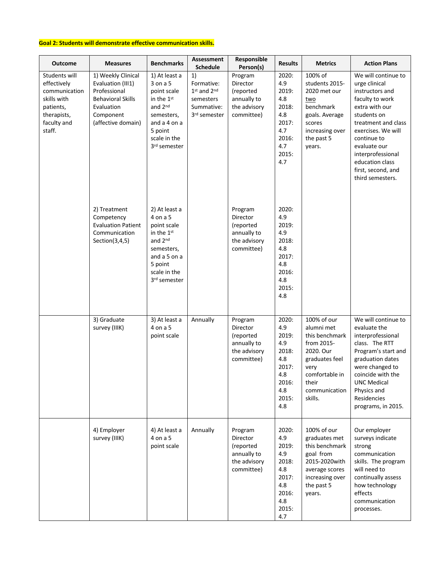### **Goal 2: Students will demonstrate effective communication skills.**

| <b>Outcome</b>                                                                                                    | <b>Measures</b>                                                                                                                      | <b>Benchmarks</b>                                                                                                                                                  | Assessment<br><b>Schedule</b>                                                  | Responsible<br>Person(s)                                                             | <b>Results</b>                                                                               | <b>Metrics</b>                                                                                                                                          | <b>Action Plans</b>                                                                                                                                                                                                                                                       |
|-------------------------------------------------------------------------------------------------------------------|--------------------------------------------------------------------------------------------------------------------------------------|--------------------------------------------------------------------------------------------------------------------------------------------------------------------|--------------------------------------------------------------------------------|--------------------------------------------------------------------------------------|----------------------------------------------------------------------------------------------|---------------------------------------------------------------------------------------------------------------------------------------------------------|---------------------------------------------------------------------------------------------------------------------------------------------------------------------------------------------------------------------------------------------------------------------------|
| Students will<br>effectively<br>communication<br>skills with<br>patients,<br>therapists,<br>faculty and<br>staff. | 1) Weekly Clinical<br>Evaluation (III1)<br>Professional<br><b>Behavioral Skills</b><br>Evaluation<br>Component<br>(affective domain) | 1) At least a<br>3 on a 5<br>point scale<br>in the 1 <sup>st</sup><br>and 2 <sup>nd</sup><br>semesters,<br>and a 4 on a<br>5 point<br>scale in the<br>3rd semester | 1)<br>Formative:<br>$1st$ and $2nd$<br>semesters<br>Summative:<br>3rd semester | Program<br>Director<br>(reported<br>annually to<br>the advisory<br>committee)        | 2020:<br>4.9<br>2019:<br>4.8<br>2018:<br>4.8<br>2017:<br>4.7<br>2016:<br>4.7<br>2015:<br>4.7 | 100% of<br>students 2015-<br>2020 met our<br>two<br>benchmark<br>goals. Average<br>scores<br>increasing over<br>the past 5<br>years.                    | We will continue to<br>urge clinical<br>instructors and<br>faculty to work<br>extra with our<br>students on<br>treatment and class<br>exercises. We will<br>continue to<br>evaluate our<br>interprofessional<br>education class<br>first, second, and<br>third semesters. |
|                                                                                                                   | 2) Treatment<br>Competency<br><b>Evaluation Patient</b><br>Communication<br>Section(3,4,5)                                           | 2) At least a<br>4 on a 5<br>point scale<br>in the 1st<br>and 2nd<br>semesters,<br>and a 5 on a<br>5 point<br>scale in the<br>3rd semester                         |                                                                                | Program<br><b>Director</b><br>(reported<br>annually to<br>the advisory<br>committee) | 2020:<br>4.9<br>2019:<br>4.9<br>2018:<br>4.8<br>2017:<br>4.8<br>2016:<br>4.8<br>2015:<br>4.8 |                                                                                                                                                         |                                                                                                                                                                                                                                                                           |
|                                                                                                                   | 3) Graduate<br>survey (IIIK)                                                                                                         | 3) At least a<br>4 on a 5<br>point scale                                                                                                                           | Annually                                                                       | Program<br>Director<br>(reported<br>annually to<br>the advisory<br>committee)        | 2020:<br>4.9<br>2019:<br>4.9<br>2018:<br>4.8<br>2017:<br>4.8<br>2016:<br>4.8<br>2015:<br>4.8 | 100% of our<br>alumni met<br>this benchmark<br>from 2015-<br>2020. Our<br>graduates feel<br>very<br>comfortable in<br>their<br>communication<br>skills. | We will continue to<br>evaluate the<br>interprofessional<br>class. The RTT<br>Program's start and<br>graduation dates<br>were changed to<br>coincide with the<br><b>UNC Medical</b><br>Physics and<br>Residencies<br>programs, in 2015.                                   |
|                                                                                                                   | 4) Employer<br>survey (IIIK)                                                                                                         | 4) At least a<br>4 on a 5<br>point scale                                                                                                                           | Annually                                                                       | Program<br>Director<br>(reported<br>annually to<br>the advisory<br>committee)        | 2020:<br>4.9<br>2019:<br>4.9<br>2018:<br>4.8<br>2017:<br>4.8<br>2016:<br>4.8<br>2015:<br>4.7 | 100% of our<br>graduates met<br>this benchmark<br>goal from<br>2015-2020with<br>average scores<br>increasing over<br>the past 5<br>years.               | Our employer<br>surveys indicate<br>strong<br>communication<br>skills. The program<br>will need to<br>continually assess<br>how technology<br>effects<br>communication<br>processes.                                                                                      |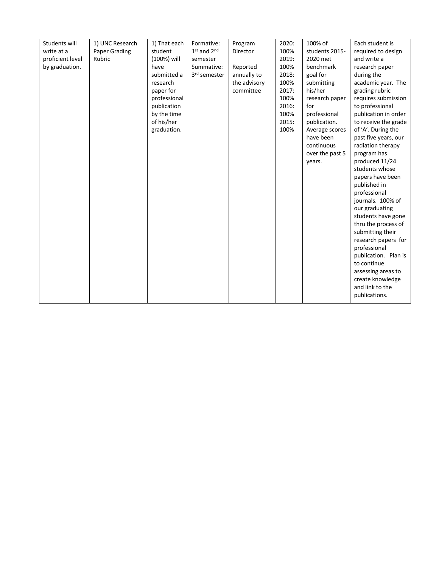| Students will    | 1) UNC Research | 1) That each | Formative:      | Program      | 2020: | 100% of         | Each student is      |
|------------------|-----------------|--------------|-----------------|--------------|-------|-----------------|----------------------|
| write at a       | Paper Grading   | student      | $1st$ and $2nd$ | Director     | 100%  | students 2015-  | required to design   |
| proficient level | Rubric          | (100%) will  | semester        |              | 2019: | 2020 met        | and write a          |
| by graduation.   |                 | have         | Summative:      | Reported     | 100%  | benchmark       | research paper       |
|                  |                 | submitted a  | 3rd semester    | annually to  | 2018: | goal for        | during the           |
|                  |                 | research     |                 | the advisory | 100%  | submitting      | academic year. The   |
|                  |                 | paper for    |                 | committee    | 2017: | his/her         | grading rubric       |
|                  |                 | professional |                 |              | 100%  | research paper  | requires submission  |
|                  |                 | publication  |                 |              | 2016: | for             | to professional      |
|                  |                 | by the time  |                 |              | 100%  | professional    | publication in order |
|                  |                 | of his/her   |                 |              | 2015: | publication.    | to receive the grade |
|                  |                 | graduation.  |                 |              | 100%  | Average scores  | of 'A'. During the   |
|                  |                 |              |                 |              |       | have been       | past five years, our |
|                  |                 |              |                 |              |       | continuous      | radiation therapy    |
|                  |                 |              |                 |              |       | over the past 5 | program has          |
|                  |                 |              |                 |              |       | years.          | produced 11/24       |
|                  |                 |              |                 |              |       |                 | students whose       |
|                  |                 |              |                 |              |       |                 | papers have been     |
|                  |                 |              |                 |              |       |                 | published in         |
|                  |                 |              |                 |              |       |                 | professional         |
|                  |                 |              |                 |              |       |                 | journals. 100% of    |
|                  |                 |              |                 |              |       |                 | our graduating       |
|                  |                 |              |                 |              |       |                 | students have gone   |
|                  |                 |              |                 |              |       |                 | thru the process of  |
|                  |                 |              |                 |              |       |                 | submitting their     |
|                  |                 |              |                 |              |       |                 | research papers for  |
|                  |                 |              |                 |              |       |                 | professional         |
|                  |                 |              |                 |              |       |                 | publication. Plan is |
|                  |                 |              |                 |              |       |                 | to continue          |
|                  |                 |              |                 |              |       |                 | assessing areas to   |
|                  |                 |              |                 |              |       |                 | create knowledge     |
|                  |                 |              |                 |              |       |                 | and link to the      |
|                  |                 |              |                 |              |       |                 | publications.        |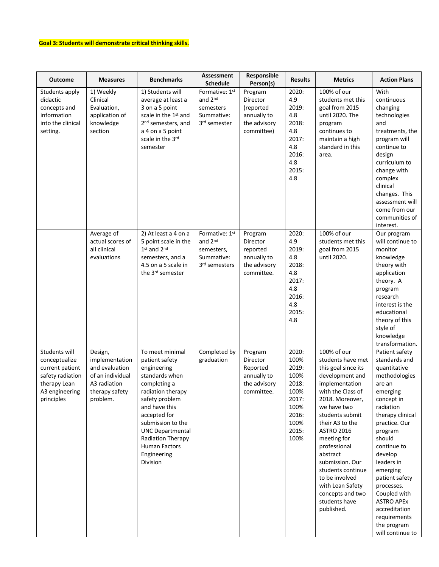# **Goal 3: Students will demonstrate critical thinking skills.**

| <b>Outcome</b>                                                                                                        | <b>Measures</b>                                                                                               | <b>Benchmarks</b>                                                                                                                                                                                                                                                           | <b>Assessment</b><br><b>Schedule</b>                                   | Responsible<br>Person(s)                                                      | <b>Results</b>                                                                                     | <b>Metrics</b>                                                                                                                                                                                                                                                                                                                                                                             | <b>Action Plans</b>                                                                                                                                                                                                                                                                                                                                                      |
|-----------------------------------------------------------------------------------------------------------------------|---------------------------------------------------------------------------------------------------------------|-----------------------------------------------------------------------------------------------------------------------------------------------------------------------------------------------------------------------------------------------------------------------------|------------------------------------------------------------------------|-------------------------------------------------------------------------------|----------------------------------------------------------------------------------------------------|--------------------------------------------------------------------------------------------------------------------------------------------------------------------------------------------------------------------------------------------------------------------------------------------------------------------------------------------------------------------------------------------|--------------------------------------------------------------------------------------------------------------------------------------------------------------------------------------------------------------------------------------------------------------------------------------------------------------------------------------------------------------------------|
| Students apply<br>didactic<br>concepts and<br>information<br>into the clinical<br>setting.                            | 1) Weekly<br>Clinical<br>Evaluation,<br>application of<br>knowledge<br>section                                | 1) Students will<br>average at least a<br>3 on a 5 point<br>scale in the 1st and<br>2 <sup>nd</sup> semesters, and<br>a 4 on a 5 point<br>scale in the 3rd<br>semester                                                                                                      | Formative: 1st<br>and 2nd<br>semesters<br>Summative:<br>3rd semester   | Program<br>Director<br>(reported<br>annually to<br>the advisory<br>committee) | 2020:<br>4.9<br>2019:<br>4.8<br>2018:<br>4.8<br>2017:<br>4.8<br>2016:<br>4.8<br>2015:<br>4.8       | 100% of our<br>students met this<br>goal from 2015<br>until 2020. The<br>program<br>continues to<br>maintain a high<br>standard in this<br>area.                                                                                                                                                                                                                                           | With<br>continuous<br>changing<br>technologies<br>and<br>treatments, the<br>program will<br>continue to<br>design<br>curriculum to<br>change with<br>complex<br>clinical<br>changes. This<br>assessment will<br>come from our<br>communities of<br>interest.                                                                                                             |
|                                                                                                                       | Average of<br>actual scores of<br>all clinical<br>evaluations                                                 | 2) At least a 4 on a<br>5 point scale in the<br>1st and 2nd<br>semesters, and a<br>4.5 on a 5 scale in<br>the 3rd semester                                                                                                                                                  | Formative: 1st<br>and 2nd<br>semesters,<br>Summative:<br>3rd semesters | Program<br>Director<br>reported<br>annually to<br>the advisory<br>committee.  | 2020:<br>4.9<br>2019:<br>4.8<br>2018:<br>4.8<br>2017:<br>4.8<br>2016:<br>4.8<br>2015:<br>4.8       | 100% of our<br>students met this<br>goal from 2015<br>until 2020.                                                                                                                                                                                                                                                                                                                          | Our program<br>will continue to<br>monitor<br>knowledge<br>theory with<br>application<br>theory. A<br>program<br>research<br>interest is the<br>educational<br>theory of this<br>style of<br>knowledge<br>transformation.                                                                                                                                                |
| Students will<br>conceptualize<br>current patient<br>safety radiation<br>therapy Lean<br>A3 engineering<br>principles | Design,<br>implementation<br>and evaluation<br>of an individual<br>A3 radiation<br>therapy safety<br>problem. | To meet minimal<br>patient safety<br>engineering<br>standards when<br>completing a<br>radiation therapy<br>safety problem<br>and have this<br>accepted for<br>submission to the<br><b>UNC Departmental</b><br>Radiation Therapy<br>Human Factors<br>Engineering<br>Division | Completed by<br>graduation                                             | Program<br>Director<br>Reported<br>annually to<br>the advisory<br>committee.  | 2020:<br>100%<br>2019:<br>100%<br>2018:<br>100%<br>2017:<br>100%<br>2016:<br>100%<br>2015:<br>100% | 100% of our<br>students have met<br>this goal since its<br>development and<br>implementation<br>with the Class of<br>2018. Moreover,<br>we have two<br>students submit<br>their A3 to the<br><b>ASTRO 2016</b><br>meeting for<br>professional<br>abstract<br>submission. Our<br>students continue<br>to be involved<br>with Lean Safety<br>concepts and two<br>students have<br>published. | Patient safety<br>standards and<br>quantitative<br>methodologies<br>are an<br>emerging<br>concept in<br>radiation<br>therapy clinical<br>practice. Our<br>program<br>should<br>continue to<br>develop<br>leaders in<br>emerging<br>patient safety<br>processes.<br>Coupled with<br><b>ASTRO APEx</b><br>accreditation<br>requirements<br>the program<br>will continue to |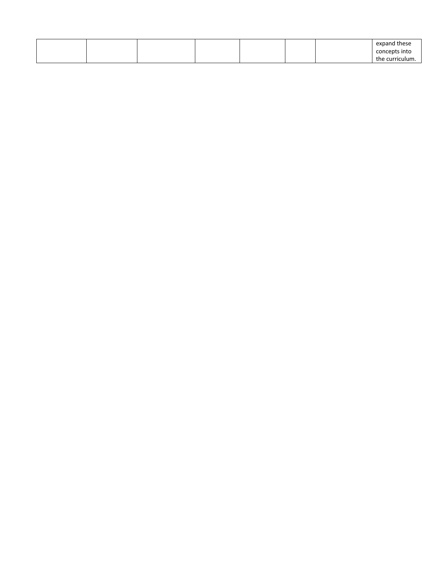|  |  |  | expand these    |
|--|--|--|-----------------|
|  |  |  | concepts into   |
|  |  |  | the curriculum. |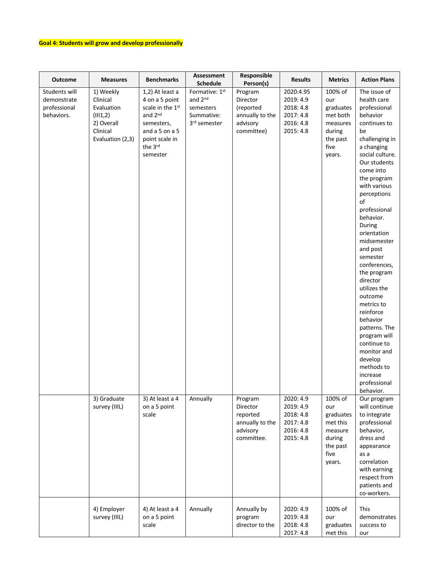# **Goal 4: Students will grow and develop professionally**

| <b>Outcome</b>                                             | <b>Measures</b>                                                                               | <b>Benchmarks</b>                                                                                                                                     | Assessment<br>Schedule                                               | Responsible<br>Person(s)                                                      | <b>Results</b>                                                             | <b>Metrics</b>                                                                              | <b>Action Plans</b>                                                                                                                                                                                                                                                                                                                                                                                                                                                                                                                                          |
|------------------------------------------------------------|-----------------------------------------------------------------------------------------------|-------------------------------------------------------------------------------------------------------------------------------------------------------|----------------------------------------------------------------------|-------------------------------------------------------------------------------|----------------------------------------------------------------------------|---------------------------------------------------------------------------------------------|--------------------------------------------------------------------------------------------------------------------------------------------------------------------------------------------------------------------------------------------------------------------------------------------------------------------------------------------------------------------------------------------------------------------------------------------------------------------------------------------------------------------------------------------------------------|
| Students will<br>demonstrate<br>professional<br>behaviors. | 1) Weekly<br>Clinical<br>Evaluation<br>(III1,2)<br>2) Overall<br>Clinical<br>Evaluation (2,3) | 1,2) At least a<br>4 on a 5 point<br>scale in the 1 <sup>st</sup><br>and 2nd<br>semesters,<br>and a 5 on a 5<br>point scale in<br>the 3rd<br>semester | Formative: 1st<br>and 2nd<br>semesters<br>Summative:<br>3rd semester | Program<br>Director<br>(reported<br>annually to the<br>advisory<br>committee) | 2020:4.95<br>2019: 4.9<br>2018: 4.8<br>2017: 4.8<br>2016: 4.8<br>2015: 4.8 | 100% of<br>our<br>graduates<br>met both<br>measures<br>during<br>the past<br>five<br>years. | The issue of<br>health care<br>professional<br>behavior<br>continues to<br>be<br>challenging in<br>a changing<br>social culture.<br>Our students<br>come into<br>the program<br>with various<br>perceptions<br>of<br>professional<br>behavior.<br>During<br>orientation<br>midsemester<br>and post<br>semester<br>conferences,<br>the program<br>director<br>utilizes the<br>outcome<br>metrics to<br>reinforce<br>behavior<br>patterns. The<br>program will<br>continue to<br>monitor and<br>develop<br>methods to<br>increase<br>professional<br>behavior. |
|                                                            | 3) Graduate<br>survey (IIIL)                                                                  | 3) At least a 4<br>on a 5 point<br>scale                                                                                                              | Annually                                                             | Program<br>Director<br>reported<br>annually to the<br>advisory<br>committee.  | 2020: 4.9<br>2019: 4.9<br>2018: 4.8<br>2017: 4.8<br>2016: 4.8<br>2015: 4.8 | 100% of<br>our<br>graduates<br>met this<br>measure<br>during<br>the past<br>five<br>years.  | Our program<br>will continue<br>to integrate<br>professional<br>behavior,<br>dress and<br>appearance<br>as a<br>correlation<br>with earning<br>respect from<br>patients and<br>co-workers.                                                                                                                                                                                                                                                                                                                                                                   |
|                                                            | 4) Employer<br>survey (IIIL)                                                                  | 4) At least a 4<br>on a 5 point<br>scale                                                                                                              | Annually                                                             | Annually by<br>program<br>director to the                                     | 2020: 4.9<br>2019: 4.8<br>2018: 4.8<br>2017: 4.8                           | 100% of<br>our<br>graduates<br>met this                                                     | This<br>demonstrates<br>success to<br>our                                                                                                                                                                                                                                                                                                                                                                                                                                                                                                                    |